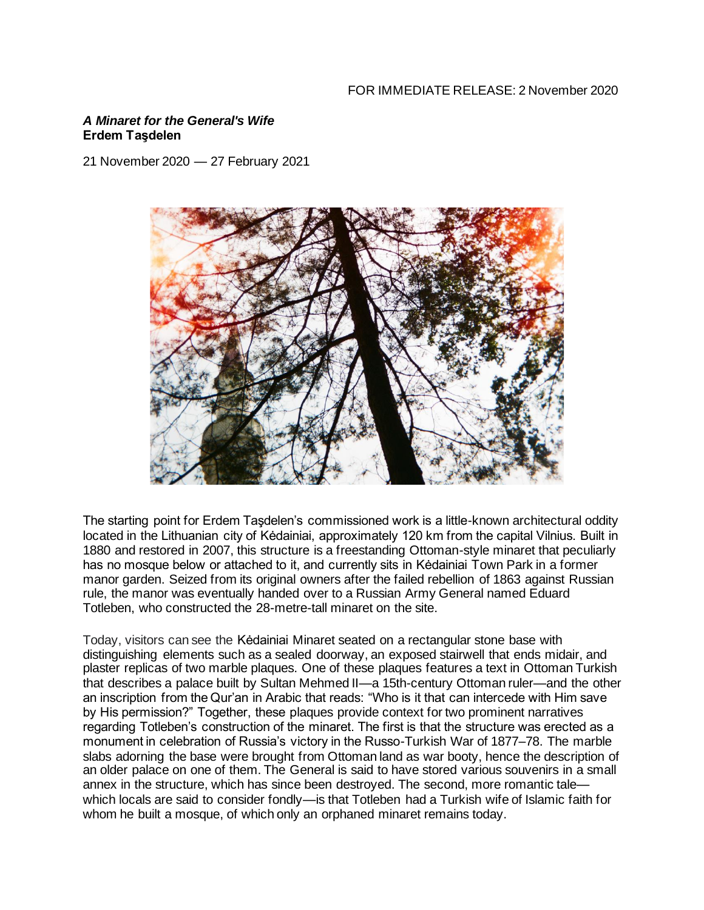### *A Minaret for the General's Wife* **Erdem Taşdelen**

21 November 2020 — 27 February 2021



The starting point for Erdem Taşdelen's commissioned work is a little-known architectural oddity located in the Lithuanian city of Kėdainiai, approximately 120 km from the capital Vilnius. Built in 1880 and restored in 2007, this structure is a freestanding Ottoman-style minaret that peculiarly has no mosque below or attached to it, and currently sits in Kėdainiai Town Park in a former manor garden. Seized from its original owners after the failed rebellion of 1863 against Russian rule, the manor was eventually handed over to a Russian Army General named Eduard Totleben, who constructed the 28-metre-tall minaret on the site.

Today, visitors can see the Kėdainiai Minaret seated on a rectangular stone base with distinguishing elements such as a sealed doorway, an exposed stairwell that ends midair, and plaster replicas of two marble plaques. One of these plaques features a text in Ottoman Turkish that describes a palace built by Sultan Mehmed II—a 15th-century Ottoman ruler—and the other an inscription from the Qur'an in Arabic that reads: "Who is it that can intercede with Him save by His permission?" Together, these plaques provide context for two prominent narratives regarding Totleben's construction of the minaret. The first is that the structure was erected as a monument in celebration of Russia's victory in the Russo-Turkish War of 1877–78. The marble slabs adorning the base were brought from Ottoman land as war booty, hence the description of an older palace on one of them. The General is said to have stored various souvenirs in a small annex in the structure, which has since been destroyed. The second, more romantic tale which locals are said to consider fondly—is that Totleben had a Turkish wife of Islamic faith for whom he built a mosque, of which only an orphaned minaret remains today.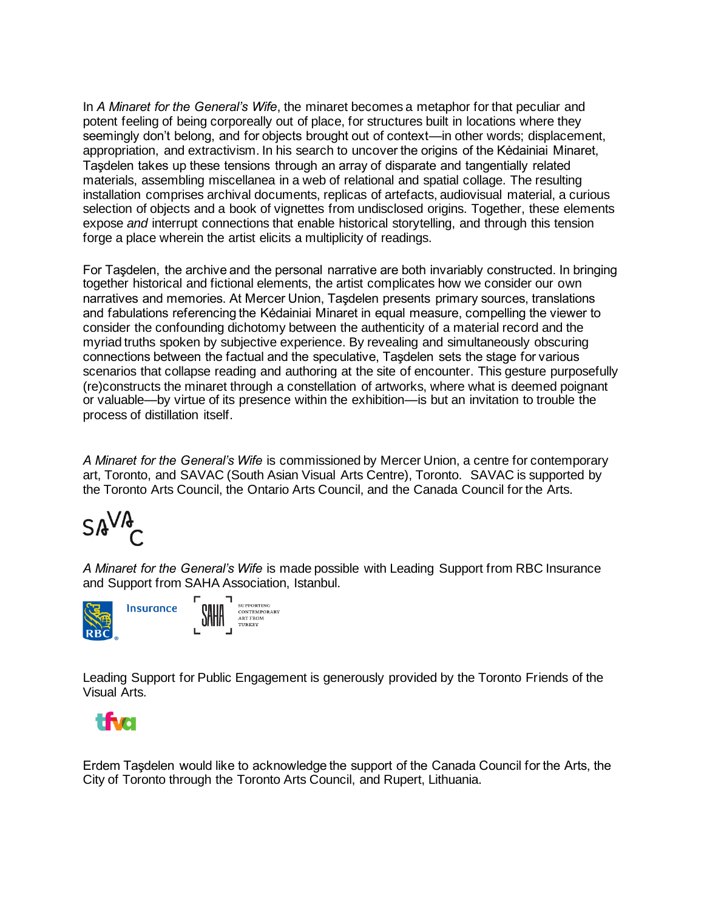In *A Minaret for the General's Wife*, the minaret becomes a metaphor for that peculiar and potent feeling of being corporeally out of place, for structures built in locations where they seemingly don't belong, and for objects brought out of context—in other words; displacement, appropriation, and extractivism. In his search to uncover the origins of the Kėdainiai Minaret, Taşdelen takes up these tensions through an array of disparate and tangentially related materials, assembling miscellanea in a web of relational and spatial collage. The resulting installation comprises archival documents, replicas of artefacts, audiovisual material, a curious selection of objects and a book of vignettes from undisclosed origins. Together, these elements expose *and* interrupt connections that enable historical storytelling, and through this tension forge a place wherein the artist elicits a multiplicity of readings.

For Taşdelen, the archive and the personal narrative are both invariably constructed. In bringing together historical and fictional elements, the artist complicates how we consider our own narratives and memories. At Mercer Union, Taşdelen presents primary sources, translations and fabulations referencing the Kėdainiai Minaret in equal measure, compelling the viewer to consider the confounding dichotomy between the authenticity of a material record and the myriad truths spoken by subjective experience. By revealing and simultaneously obscuring connections between the factual and the speculative, Taşdelen sets the stage for various scenarios that collapse reading and authoring at the site of encounter. This gesture purposefully (re)constructs the minaret through a constellation of artworks, where what is deemed poignant or valuable—by virtue of its presence within the exhibition—is but an invitation to trouble the process of distillation itself.

*A Minaret for the General's Wife* is commissioned by Mercer Union, a centre for contemporary art, Toronto, and SAVAC (South Asian Visual Arts Centre), Toronto. SAVAC is supported by the Toronto Arts Council, the Ontario Arts Council, and the Canada Council for the Arts.

$$
\mathsf{SAV4}_{\mathsf{C}}
$$

*A Minaret for the General's Wife* is made possible with Leading Support from RBC Insurance and Support from SAHA Association, Istanbul.



Leading Support for Public Engagement is generously provided by the Toronto Friends of the Visual Arts.



Erdem Taşdelen would like to acknowledge the support of the Canada Council for the Arts, the City of Toronto through the Toronto Arts Council, and Rupert, Lithuania.